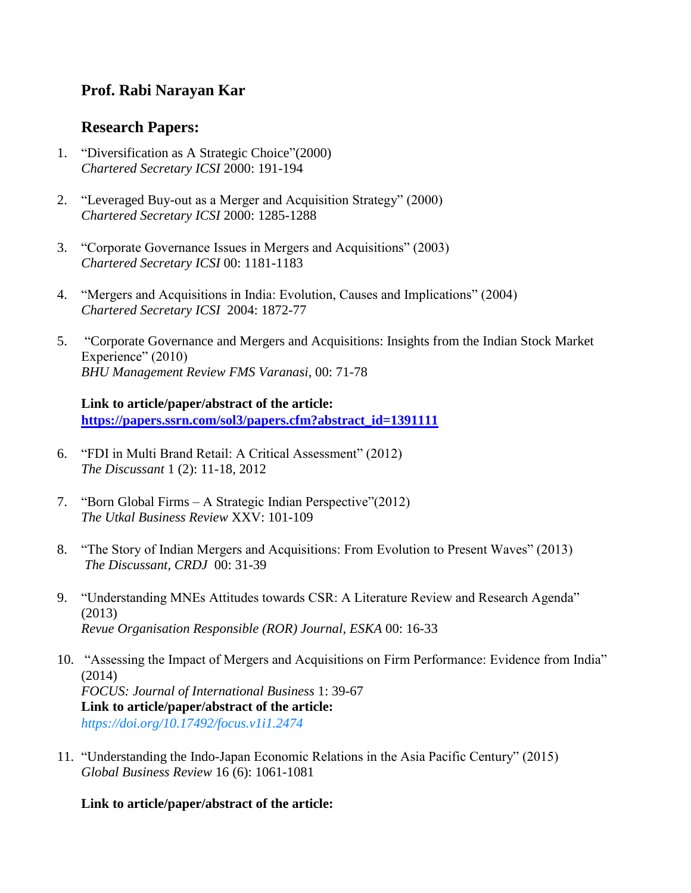# **Prof. Rabi Narayan Kar**

## **Research Papers:**

- 1. "Diversification as A Strategic Choice"(2000) *Chartered Secretary ICSI* 2000: 191-194
- 2. "Leveraged Buy-out as a Merger and Acquisition Strategy" (2000) *Chartered Secretary ICSI* 2000: 1285-1288
- 3. "Corporate Governance Issues in Mergers and Acquisitions" (2003) *Chartered Secretary ICSI* 00: 1181-1183
- 4. "Mergers and Acquisitions in India: Evolution, Causes and Implications" (2004) *Chartered Secretary ICSI* 2004: 1872-77
- 5. "Corporate Governance and Mergers and Acquisitions: Insights from the Indian Stock Market Experience" (2010) *BHU Management Review FMS Varanasi,* 00: 71-78

#### **Link to article/paper/abstract of the article: [https://papers.ssrn.com/sol3/papers.cfm?abstract\\_id=1391111](https://papers.ssrn.com/sol3/papers.cfm?abstract_id=1391111)**

- 6. "FDI in Multi Brand Retail: A Critical Assessment" (2012) *The Discussant* 1 (2): 11-18, 2012
- 7. "Born Global Firms A Strategic Indian Perspective"(2012) *The Utkal Business Review* XXV: 101-109
- 8. "The Story of Indian Mergers and Acquisitions: From Evolution to Present Waves" (2013) *The Discussant, CRDJ* 00: 31-39
- 9. "Understanding MNEs Attitudes towards CSR: A Literature Review and Research Agenda" (2013) *Revue Organisation Responsible (ROR) Journal, ESKA* 00: 16-33
- 10. "Assessing the Impact of Mergers and Acquisitions on Firm Performance: Evidence from India" (2014) *FOCUS: Journal of International Business* 1: 39-67 **Link to article/paper/abstract of the article:** *[https://doi.org/10.17492/focus.v1i1.2474](javascript:window.location.reload(true))*
- 11. "Understanding the Indo-Japan Economic Relations in the Asia Pacific Century" (2015) *Global Business Review* 16 (6): 1061-1081

**Link to article/paper/abstract of the article:**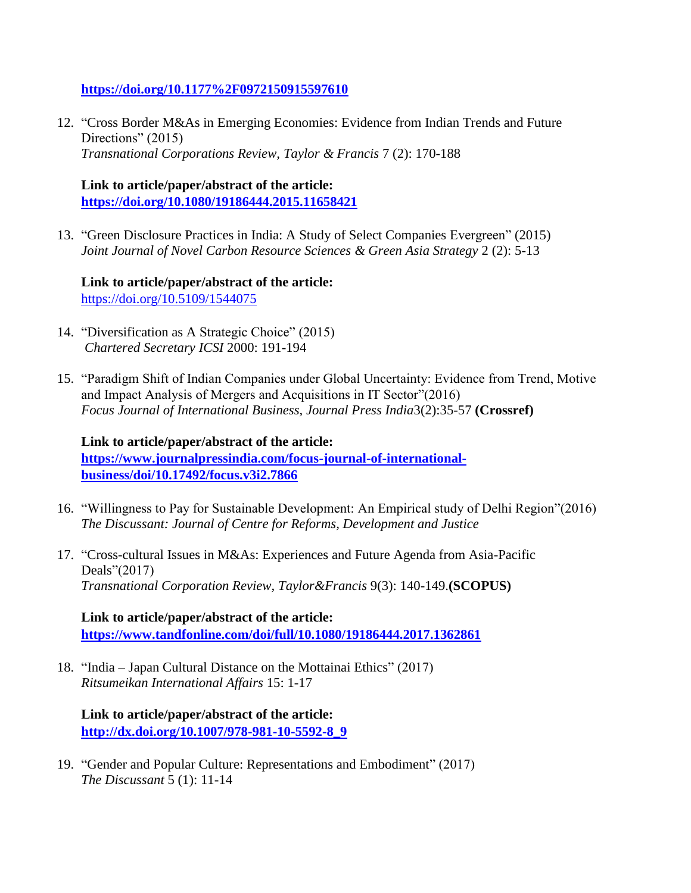**<https://doi.org/10.1177%2F0972150915597610>**

12. "Cross Border M&As in Emerging Economies: Evidence from Indian Trends and Future Directions" (2015) *Transnational Corporations Review, Taylor & Francis* 7 (2): 170-188

**Link to article/paper/abstract of the article: <https://doi.org/10.1080/19186444.2015.11658421>**

13. "Green Disclosure Practices in India: A Study of Select Companies Evergreen" (2015) *Joint Journal of Novel Carbon Resource Sciences & Green Asia Strategy* 2 (2): 5-13

**Link to article/paper/abstract of the article:** <https://doi.org/10.5109/1544075>

- 14. "Diversification as A Strategic Choice" (2015) *Chartered Secretary ICSI* 2000: 191-194
- 15. "Paradigm Shift of Indian Companies under Global Uncertainty: Evidence from Trend, Motive and Impact Analysis of Mergers and Acquisitions in IT Sector"(2016) *Focus Journal of International Business, Journal Press India*3(2):35-57 **(Crossref)**

**Link to article/paper/abstract of the article: [https://www.journalpressindia.com/focus-journal-of-international](https://www.journalpressindia.com/focus-journal-of-international-business/doi/10.17492/focus.v3i2.7866)[business/doi/10.17492/focus.v3i2.7866](https://www.journalpressindia.com/focus-journal-of-international-business/doi/10.17492/focus.v3i2.7866)**

- 16. "Willingness to Pay for Sustainable Development: An Empirical study of Delhi Region"(2016) *The Discussant: Journal of Centre for Reforms, Development and Justice*
- 17. "Cross-cultural Issues in M&As: Experiences and Future Agenda from Asia-Pacific Deals"(2017) *Transnational Corporation Review, Taylor&Francis* 9(3): 140-149.**(SCOPUS)**

**Link to article/paper/abstract of the article: <https://www.tandfonline.com/doi/full/10.1080/19186444.2017.1362861>**

18. "India – Japan Cultural Distance on the Mottainai Ethics" (2017) *Ritsumeikan International Affairs* 15: 1-17

**Link to article/paper/abstract of the article: [http://dx.doi.org/10.1007/978-981-10-5592-8\\_9](http://dx.doi.org/10.1007/978-981-10-5592-8_9)**

19. "Gender and Popular Culture: Representations and Embodiment" (2017) *The Discussant* 5 (1): 11-14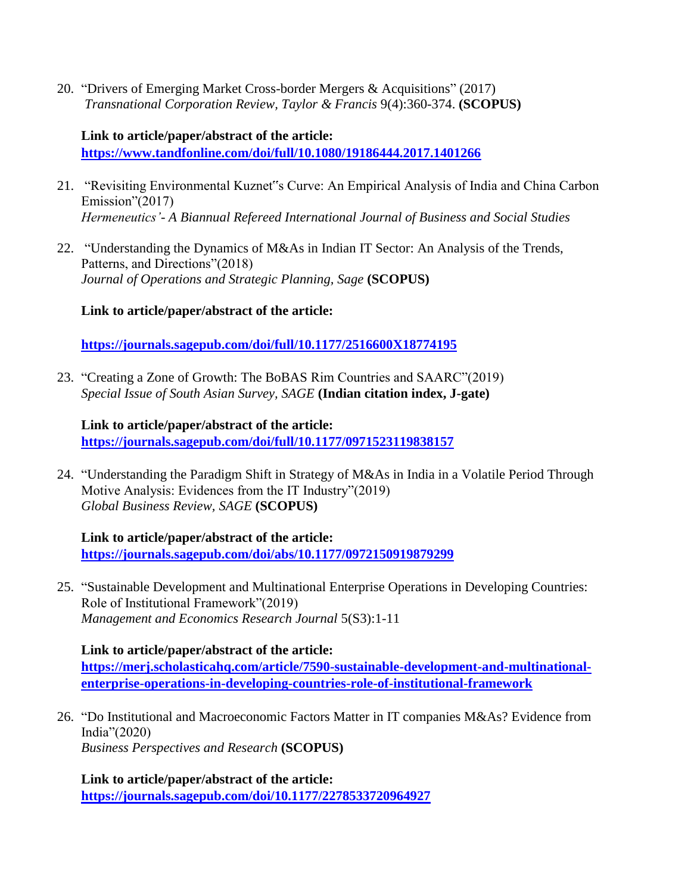20. "Drivers of Emerging Market Cross-border Mergers & Acquisitions" (2017) *Transnational Corporation Review, Taylor & Francis* 9(4):360-374. **(SCOPUS)**

#### **Link to article/paper/abstract of the article: <https://www.tandfonline.com/doi/full/10.1080/19186444.2017.1401266>**

- 21. "Revisiting Environmental Kuznet"s Curve: An Empirical Analysis of India and China Carbon Emission"(2017) *Hermeneutics'- A Biannual Refereed International Journal of Business and Social Studies*
- 22. "Understanding the Dynamics of M&As in Indian IT Sector: An Analysis of the Trends, Patterns, and Directions"(2018) *Journal of Operations and Strategic Planning, Sage* **(SCOPUS)**

### **Link to article/paper/abstract of the article:**

**<https://journals.sagepub.com/doi/full/10.1177/2516600X18774195>**

23. "Creating a Zone of Growth: The BoBAS Rim Countries and SAARC"(2019) *Special Issue of South Asian Survey, SAGE* **(Indian citation index, J-gate)**

### **Link to article/paper/abstract of the article:**

**<https://journals.sagepub.com/doi/full/10.1177/0971523119838157>**

24. "Understanding the Paradigm Shift in Strategy of M&As in India in a Volatile Period Through Motive Analysis: Evidences from the IT Industry"(2019) *Global Business Review, SAGE* **(SCOPUS)**

**Link to article/paper/abstract of the article: <https://journals.sagepub.com/doi/abs/10.1177/0972150919879299>**

25. "Sustainable Development and Multinational Enterprise Operations in Developing Countries: Role of Institutional Framework"(2019) *Management and Economics Research Journal* 5(S3):1-11

**Link to article/paper/abstract of the article:**

**[https://merj.scholasticahq.com/article/7590-sustainable-development-and-multinational](https://merj.scholasticahq.com/article/7590-sustainable-development-and-multinational-enterprise-operations-in-developing-countries-role-of-institutional-framework)[enterprise-operations-in-developing-countries-role-of-institutional-framework](https://merj.scholasticahq.com/article/7590-sustainable-development-and-multinational-enterprise-operations-in-developing-countries-role-of-institutional-framework)**

26. "Do Institutional and Macroeconomic Factors Matter in IT companies M&As? Evidence from India"(2020) *Business Perspectives and Research* **(SCOPUS)**

**Link to article/paper/abstract of the article: <https://journals.sagepub.com/doi/10.1177/2278533720964927>**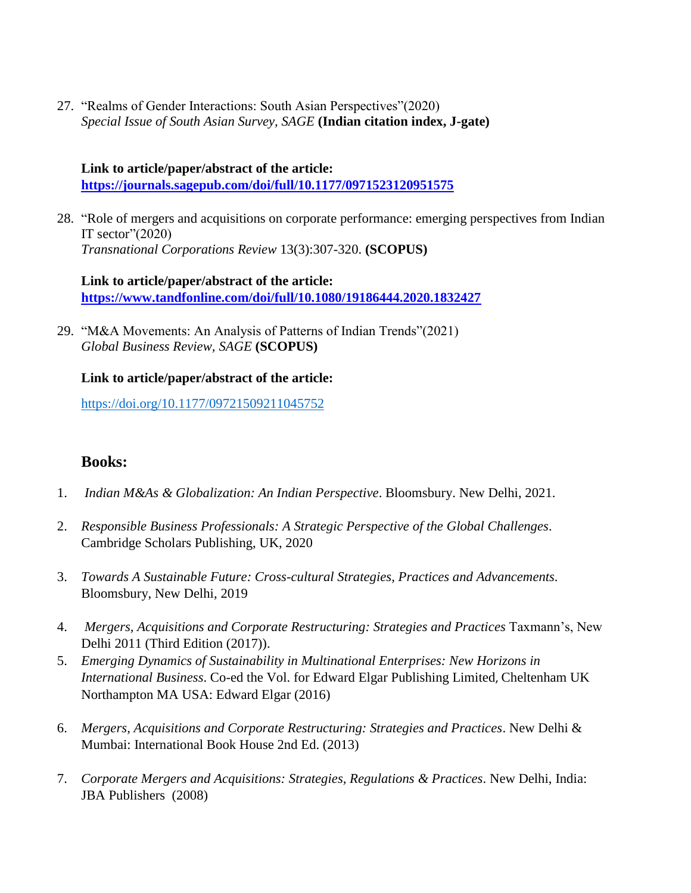27. "Realms of Gender Interactions: South Asian Perspectives"(2020) *Special Issue of South Asian Survey, SAGE* **(Indian citation index, J-gate)**

### **Link to article/paper/abstract of the article: <https://journals.sagepub.com/doi/full/10.1177/0971523120951575>**

28. "Role of mergers and acquisitions on corporate performance: emerging perspectives from Indian IT sector" $(2020)$ *Transnational Corporations Review* 13(3):307-320. **(SCOPUS)**

**Link to article/paper/abstract of the article: <https://www.tandfonline.com/doi/full/10.1080/19186444.2020.1832427>**

29. "M&A Movements: An Analysis of Patterns of Indian Trends"(2021) *Global Business Review, SAGE* **(SCOPUS)**

#### **Link to article/paper/abstract of the article:**

[https://doi.org/10.1177/09721509211045752](https://doi.org/10.1177%2F09721509211045752)

## **Books:**

- 1. *Indian M&As & Globalization: An Indian Perspective*. Bloomsbury. New Delhi, 2021.
- 2. *Responsible Business Professionals: A Strategic Perspective of the Global Challenges*. Cambridge Scholars Publishing, UK, 2020
- 3. *Towards A Sustainable Future: Cross-cultural Strategies, Practices and Advancements.* Bloomsbury, New Delhi, 2019
- 4. *Mergers, Acquisitions and Corporate Restructuring: Strategies and Practices* Taxmann's, New Delhi 2011 (Third Edition (2017)).
- 5. *Emerging Dynamics of Sustainability in Multinational Enterprises: New Horizons in International Business*. Co-ed the Vol. for Edward Elgar Publishing Limited, Cheltenham UK Northampton MA USA: Edward Elgar (2016)
- 6. *Mergers, Acquisitions and Corporate Restructuring: Strategies and Practices*. New Delhi & Mumbai: International Book House 2nd Ed. (2013)
- 7. *Corporate Mergers and Acquisitions: Strategies, Regulations & Practices*. New Delhi, India: JBA Publishers (2008)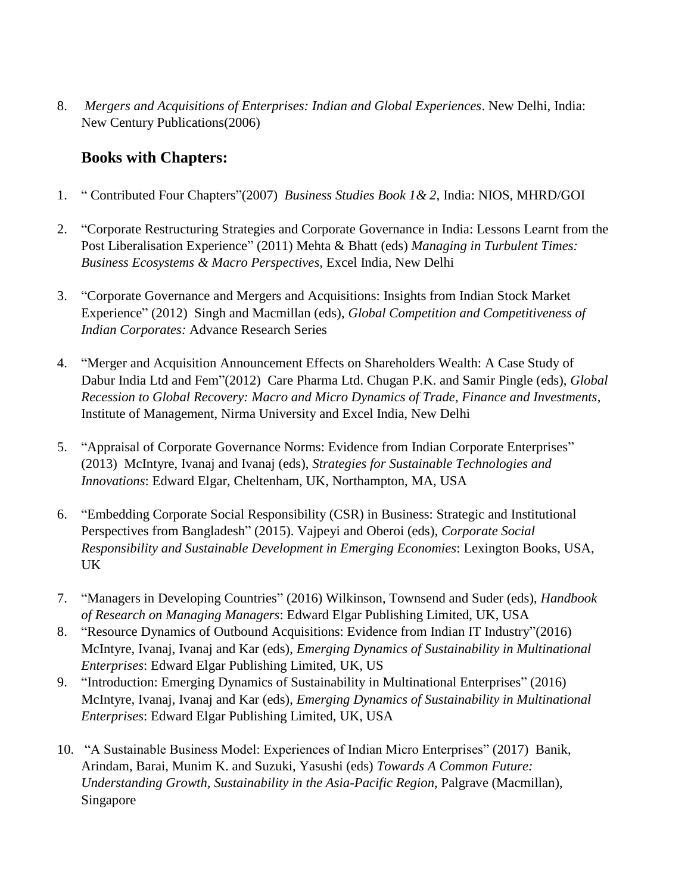8. *Mergers and Acquisitions of Enterprises: Indian and Global Experiences*. New Delhi, India: New Century Publications(2006)

# **Books with Chapters:**

- 1. " Contributed Four Chapters"(2007) *Business Studies Book 1& 2*, India: NIOS, MHRD/GOI
- 2. "Corporate Restructuring Strategies and Corporate Governance in India: Lessons Learnt from the Post Liberalisation Experience" (2011) Mehta & Bhatt (eds) *Managing in Turbulent Times: Business Ecosystems & Macro Perspectives,* Excel India, New Delhi
- 3. "Corporate Governance and Mergers and Acquisitions: Insights from Indian Stock Market Experience" (2012) Singh and Macmillan (eds), *Global Competition and Competitiveness of Indian Corporates:* Advance Research Series
- 4. "Merger and Acquisition Announcement Effects on Shareholders Wealth: A Case Study of Dabur India Ltd and Fem"(2012) Care Pharma Ltd. Chugan P.K. and Samir Pingle (eds), *Global Recession to Global Recovery: Macro and Micro Dynamics of Trade, Finance and Investments*, Institute of Management, Nirma University and Excel India, New Delhi
- 5. "Appraisal of Corporate Governance Norms: Evidence from Indian Corporate Enterprises" (2013) McIntyre, Ivanaj and Ivanaj (eds), *Strategies for Sustainable Technologies and Innovations*: Edward Elgar, Cheltenham, UK, Northampton, MA, USA
- 6. "Embedding Corporate Social Responsibility (CSR) in Business: Strategic and Institutional Perspectives from Bangladesh" (2015). Vajpeyi and Oberoi (eds), *Corporate Social Responsibility and Sustainable Development in Emerging Economies*: Lexington Books, USA, UK
- 7. "Managers in Developing Countries" (2016) Wilkinson, Townsend and Suder (eds), *Handbook of Research on Managing Managers*: Edward Elgar Publishing Limited, UK, USA
- 8. "Resource Dynamics of Outbound Acquisitions: Evidence from Indian IT Industry"(2016) McIntyre, Ivanaj, Ivanaj and Kar (eds), *Emerging Dynamics of Sustainability in Multinational Enterprises*: Edward Elgar Publishing Limited, UK, US
- 9. "Introduction: Emerging Dynamics of Sustainability in Multinational Enterprises" (2016) McIntyre, Ivanaj, Ivanaj and Kar (eds), *Emerging Dynamics of Sustainability in Multinational Enterprises*: Edward Elgar Publishing Limited, UK, USA
- 10. "A Sustainable Business Model: Experiences of Indian Micro Enterprises" (2017) Banik, Arindam, Barai, Munim K. and Suzuki, Yasushi (eds) *Towards A Common Future: Understanding Growth, Sustainability in the Asia-Pacific Region*, Palgrave (Macmillan), Singapore